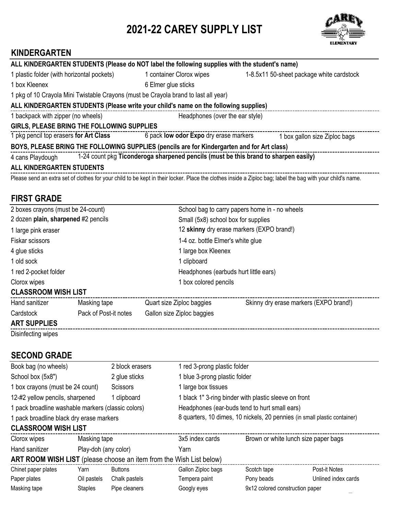# **2021-22 CAREY SUPPLY LIST**



### **KINDERGARTEN**

|                                                                                                         |  | ALL KINDERGARTEN STUDENTS (Please do NOT label the following supplies with the student's name) |                                                                                                                                                             |  |
|---------------------------------------------------------------------------------------------------------|--|------------------------------------------------------------------------------------------------|-------------------------------------------------------------------------------------------------------------------------------------------------------------|--|
| 1 plastic folder (with horizontal pockets)                                                              |  | 1 container Clorox wipes                                                                       | 1-8.5x11 50-sheet package white cardstock                                                                                                                   |  |
| 1 box Kleenex                                                                                           |  | 6 Elmer glue sticks                                                                            |                                                                                                                                                             |  |
|                                                                                                         |  | 1 pkg of 10 Crayola Mini Twistable Crayons (must be Crayola brand to last all year)            |                                                                                                                                                             |  |
|                                                                                                         |  | ALL KINDERGARTEN STUDENTS (Please write your child's name on the following supplies)           |                                                                                                                                                             |  |
| 1 backpack with zipper (no wheels)<br>Headphones (over the ear style)                                   |  |                                                                                                |                                                                                                                                                             |  |
| GIRLS, PLEASE BRING THE FOLLOWING SUPPLIES                                                              |  |                                                                                                |                                                                                                                                                             |  |
| 1 pkg pencil top erasers for Art Class                                                                  |  | 6 pack low odor Expo dry erase markers                                                         | 1 box gallon size Ziploc bags                                                                                                                               |  |
| BOYS, PLEASE BRING THE FOLLOWING SUPPLIES (pencils are for Kindergarten and for Art class)              |  |                                                                                                |                                                                                                                                                             |  |
| 1-24 count pkg Ticonderoga sharpened pencils (must be this brand to sharpen easily)<br>4 cans Playdough |  |                                                                                                |                                                                                                                                                             |  |
| <b>ALL KINDERGARTEN STUDENTS</b>                                                                        |  |                                                                                                |                                                                                                                                                             |  |
|                                                                                                         |  |                                                                                                | Please send an extra set of clothes for your child to be kept in their locker. Place the clothes inside a Ziploc bag; label the bag with your child's name. |  |

### **FIRST GRADE**

| 2 boxes crayons (must be 24-count)  |                       |                            | School bag to carry papers home in - no wheels |  |  |
|-------------------------------------|-----------------------|----------------------------|------------------------------------------------|--|--|
| 2 dozen plain, sharpened #2 pencils |                       |                            | Small (5x8) school box for supplies            |  |  |
| 1 large pink eraser                 |                       |                            | 12 skinny dry erase markers (EXPO brand!)      |  |  |
| Fiskar scissors                     |                       |                            | 1-4 oz. bottle Elmer's white glue              |  |  |
| 4 glue sticks                       |                       |                            | 1 large box Kleenex                            |  |  |
| 1 old sock                          |                       | 1 clipboard                |                                                |  |  |
| 1 red 2-pocket folder               |                       |                            | Headphones (earbuds hurt little ears)          |  |  |
| Clorox wipes                        | 1 box colored pencils |                            |                                                |  |  |
| <b>CLASSROOM WISH LIST</b>          |                       |                            |                                                |  |  |
| Hand sanitizer                      | Masking tape          | Quart size Ziploc baggies  | Skinny dry erase markers (EXPO brand!)         |  |  |
| Cardstock                           | Pack of Post-it notes | Gallon size Ziploc baggies |                                                |  |  |
| <b>ART SUPPLIES</b>                 |                       |                            |                                                |  |  |
| Disinfecting wipes                  |                       |                            |                                                |  |  |

### **SECOND GRADE**

| Book bag (no wheels)                                                |                      | 2 block erasers | 1 red 3-prong plastic folder |                                                       |                                                                           |  |
|---------------------------------------------------------------------|----------------------|-----------------|------------------------------|-------------------------------------------------------|---------------------------------------------------------------------------|--|
| School box (5x8")                                                   |                      | 2 glue sticks   |                              | 1 blue 3-prong plastic folder                         |                                                                           |  |
| 1 box crayons (must be 24 count)                                    |                      | <b>Scissors</b> | 1 large box tissues          |                                                       |                                                                           |  |
| 12-#2 yellow pencils, sharpened                                     |                      | 1 clipboard     |                              | 1 black 1" 3-ring binder with plastic sleeve on front |                                                                           |  |
| 1 pack broadline washable markers (classic colors)                  |                      |                 |                              | Headphones (ear-buds tend to hurt small ears)         |                                                                           |  |
| 1 pack broadline black dry erase markers                            |                      |                 |                              |                                                       | 8 quarters, 10 dimes, 10 nickels, 20 pennies (in small plastic container) |  |
| <b>CLASSROOM WISH LIST</b>                                          |                      |                 |                              |                                                       |                                                                           |  |
| Clorox wipes                                                        | Masking tape         |                 | 3x5 index cards              |                                                       | Brown or white lunch size paper bags                                      |  |
| Hand sanitizer                                                      | Play-doh (any color) |                 | Yarn                         |                                                       |                                                                           |  |
| ART ROOM WISH LIST (please choose an item from the Wish List below) |                      |                 |                              |                                                       |                                                                           |  |
| Chinet paper plates                                                 | Yarn                 | <b>Buttons</b>  | Gallon Ziploc bags           | Scotch tape                                           | Post-it Notes                                                             |  |
| Paper plates                                                        | Oil pastels          | Chalk pastels   | Tempera paint                | Pony beads                                            | Unlined index cards                                                       |  |
| Masking tape                                                        | <b>Staples</b>       | Pipe cleaners   | Googly eyes                  | 9x12 colored construction paper                       |                                                                           |  |